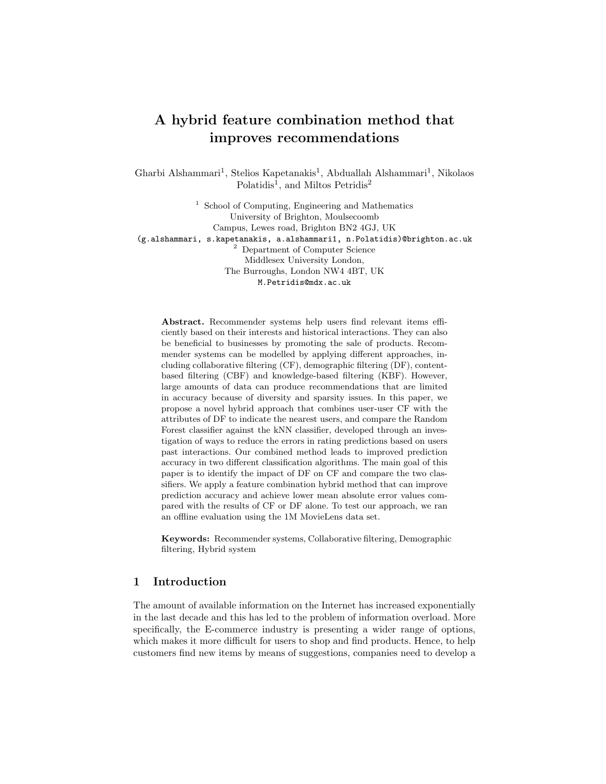# A hybrid feature combination method that improves recommendations

Gharbi Alshammari<sup>1</sup>, Stelios Kapetanakis<sup>1</sup>, Abduallah Alshammari<sup>1</sup>, Nikolaos Polatidis<sup>1</sup>, and Miltos Petridis<sup>2</sup>

<sup>1</sup> School of Computing, Engineering and Mathematics University of Brighton, Moulsecoomb Campus, Lewes road, Brighton BN2 4GJ, UK (g.alshammari, s.kapetanakis, a.alshammari1, n.Polatidis)@brighton.ac.uk <sup>2</sup> Department of Computer Science Middlesex University London, The Burroughs, London NW4 4BT, UK M.Petridis@mdx.ac.uk

Abstract. Recommender systems help users find relevant items efficiently based on their interests and historical interactions. They can also be beneficial to businesses by promoting the sale of products. Recommender systems can be modelled by applying different approaches, including collaborative filtering (CF), demographic filtering (DF), contentbased filtering (CBF) and knowledge-based filtering (KBF). However, large amounts of data can produce recommendations that are limited in accuracy because of diversity and sparsity issues. In this paper, we propose a novel hybrid approach that combines user-user CF with the attributes of DF to indicate the nearest users, and compare the Random Forest classifier against the kNN classifier, developed through an investigation of ways to reduce the errors in rating predictions based on users past interactions. Our combined method leads to improved prediction accuracy in two different classification algorithms. The main goal of this paper is to identify the impact of DF on CF and compare the two classifiers. We apply a feature combination hybrid method that can improve prediction accuracy and achieve lower mean absolute error values compared with the results of CF or DF alone. To test our approach, we ran an offline evaluation using the 1M MovieLens data set.

Keywords: Recommender systems, Collaborative filtering, Demographic filtering, Hybrid system

# 1 Introduction

The amount of available information on the Internet has increased exponentially in the last decade and this has led to the problem of information overload. More specifically, the E-commerce industry is presenting a wider range of options, which makes it more difficult for users to shop and find products. Hence, to help customers find new items by means of suggestions, companies need to develop a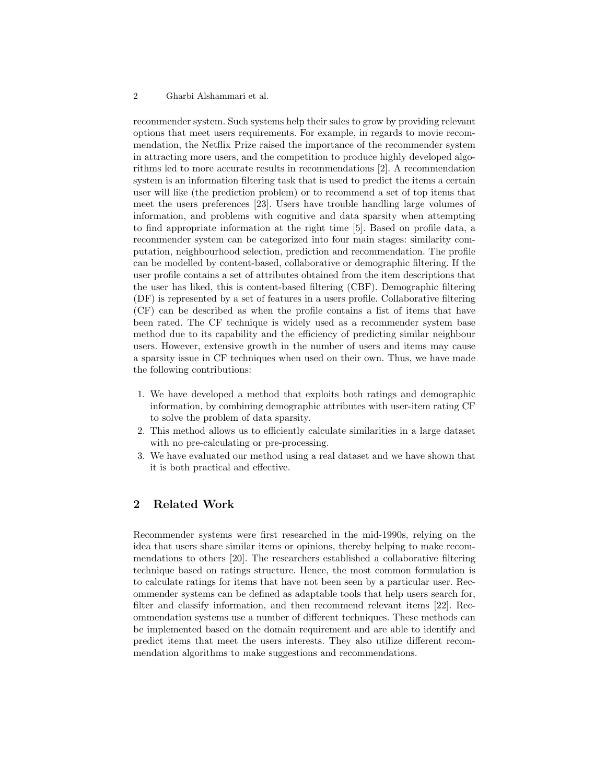#### 2 Gharbi Alshammari et al.

recommender system. Such systems help their sales to grow by providing relevant options that meet users requirements. For example, in regards to movie recommendation, the Netflix Prize raised the importance of the recommender system in attracting more users, and the competition to produce highly developed algorithms led to more accurate results in recommendations [2]. A recommendation system is an information filtering task that is used to predict the items a certain user will like (the prediction problem) or to recommend a set of top items that meet the users preferences [23]. Users have trouble handling large volumes of information, and problems with cognitive and data sparsity when attempting to find appropriate information at the right time [5]. Based on profile data, a recommender system can be categorized into four main stages: similarity computation, neighbourhood selection, prediction and recommendation. The profile can be modelled by content-based, collaborative or demographic filtering. If the user profile contains a set of attributes obtained from the item descriptions that the user has liked, this is content-based filtering (CBF). Demographic filtering (DF) is represented by a set of features in a users profile. Collaborative filtering (CF) can be described as when the profile contains a list of items that have been rated. The CF technique is widely used as a recommender system base method due to its capability and the efficiency of predicting similar neighbour users. However, extensive growth in the number of users and items may cause a sparsity issue in CF techniques when used on their own. Thus, we have made the following contributions:

- 1. We have developed a method that exploits both ratings and demographic information, by combining demographic attributes with user-item rating CF to solve the problem of data sparsity.
- 2. This method allows us to efficiently calculate similarities in a large dataset with no pre-calculating or pre-processing.
- 3. We have evaluated our method using a real dataset and we have shown that it is both practical and effective.

# 2 Related Work

Recommender systems were first researched in the mid-1990s, relying on the idea that users share similar items or opinions, thereby helping to make recommendations to others [20]. The researchers established a collaborative filtering technique based on ratings structure. Hence, the most common formulation is to calculate ratings for items that have not been seen by a particular user. Recommender systems can be defined as adaptable tools that help users search for, filter and classify information, and then recommend relevant items [22]. Recommendation systems use a number of different techniques. These methods can be implemented based on the domain requirement and are able to identify and predict items that meet the users interests. They also utilize different recommendation algorithms to make suggestions and recommendations.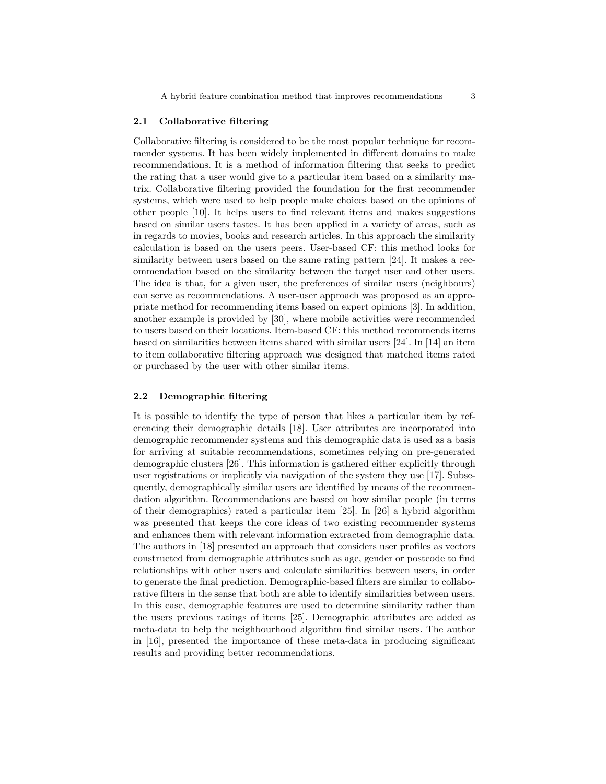A hybrid feature combination method that improves recommendations 3

## 2.1 Collaborative filtering

Collaborative filtering is considered to be the most popular technique for recommender systems. It has been widely implemented in different domains to make recommendations. It is a method of information filtering that seeks to predict the rating that a user would give to a particular item based on a similarity matrix. Collaborative filtering provided the foundation for the first recommender systems, which were used to help people make choices based on the opinions of other people [10]. It helps users to find relevant items and makes suggestions based on similar users tastes. It has been applied in a variety of areas, such as in regards to movies, books and research articles. In this approach the similarity calculation is based on the users peers. User-based CF: this method looks for similarity between users based on the same rating pattern [24]. It makes a recommendation based on the similarity between the target user and other users. The idea is that, for a given user, the preferences of similar users (neighbours) can serve as recommendations. A user-user approach was proposed as an appropriate method for recommending items based on expert opinions [3]. In addition, another example is provided by [30], where mobile activities were recommended to users based on their locations. Item-based CF: this method recommends items based on similarities between items shared with similar users [24]. In [14] an item to item collaborative filtering approach was designed that matched items rated or purchased by the user with other similar items.

## 2.2 Demographic filtering

It is possible to identify the type of person that likes a particular item by referencing their demographic details [18]. User attributes are incorporated into demographic recommender systems and this demographic data is used as a basis for arriving at suitable recommendations, sometimes relying on pre-generated demographic clusters [26]. This information is gathered either explicitly through user registrations or implicitly via navigation of the system they use [17]. Subsequently, demographically similar users are identified by means of the recommendation algorithm. Recommendations are based on how similar people (in terms of their demographics) rated a particular item [25]. In [26] a hybrid algorithm was presented that keeps the core ideas of two existing recommender systems and enhances them with relevant information extracted from demographic data. The authors in [18] presented an approach that considers user profiles as vectors constructed from demographic attributes such as age, gender or postcode to find relationships with other users and calculate similarities between users, in order to generate the final prediction. Demographic-based filters are similar to collaborative filters in the sense that both are able to identify similarities between users. In this case, demographic features are used to determine similarity rather than the users previous ratings of items [25]. Demographic attributes are added as meta-data to help the neighbourhood algorithm find similar users. The author in [16], presented the importance of these meta-data in producing significant results and providing better recommendations.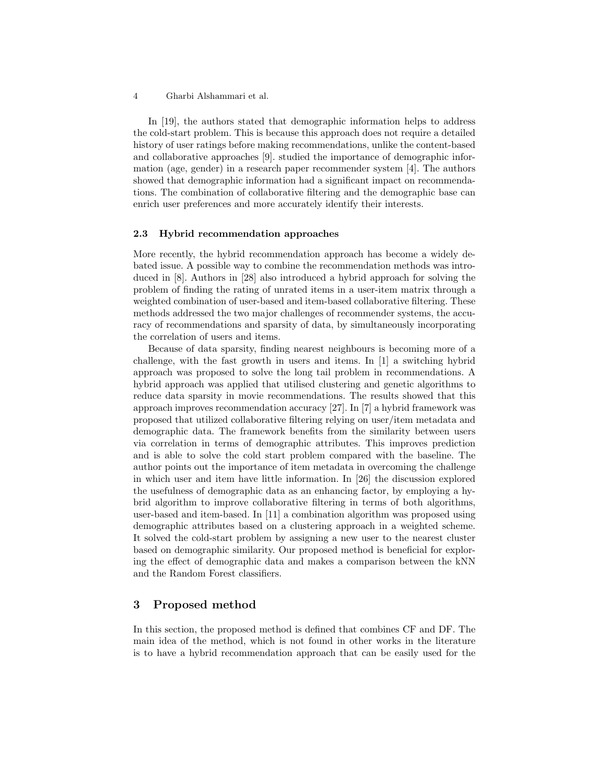In [19], the authors stated that demographic information helps to address the cold-start problem. This is because this approach does not require a detailed history of user ratings before making recommendations, unlike the content-based and collaborative approaches [9]. studied the importance of demographic information (age, gender) in a research paper recommender system [4]. The authors showed that demographic information had a significant impact on recommendations. The combination of collaborative filtering and the demographic base can enrich user preferences and more accurately identify their interests.

## 2.3 Hybrid recommendation approaches

More recently, the hybrid recommendation approach has become a widely debated issue. A possible way to combine the recommendation methods was introduced in [8]. Authors in [28] also introduced a hybrid approach for solving the problem of finding the rating of unrated items in a user-item matrix through a weighted combination of user-based and item-based collaborative filtering. These methods addressed the two major challenges of recommender systems, the accuracy of recommendations and sparsity of data, by simultaneously incorporating the correlation of users and items.

Because of data sparsity, finding nearest neighbours is becoming more of a challenge, with the fast growth in users and items. In [1] a switching hybrid approach was proposed to solve the long tail problem in recommendations. A hybrid approach was applied that utilised clustering and genetic algorithms to reduce data sparsity in movie recommendations. The results showed that this approach improves recommendation accuracy [27]. In [7] a hybrid framework was proposed that utilized collaborative filtering relying on user/item metadata and demographic data. The framework benefits from the similarity between users via correlation in terms of demographic attributes. This improves prediction and is able to solve the cold start problem compared with the baseline. The author points out the importance of item metadata in overcoming the challenge in which user and item have little information. In [26] the discussion explored the usefulness of demographic data as an enhancing factor, by employing a hybrid algorithm to improve collaborative filtering in terms of both algorithms, user-based and item-based. In [11] a combination algorithm was proposed using demographic attributes based on a clustering approach in a weighted scheme. It solved the cold-start problem by assigning a new user to the nearest cluster based on demographic similarity. Our proposed method is beneficial for exploring the effect of demographic data and makes a comparison between the kNN and the Random Forest classifiers.

## 3 Proposed method

In this section, the proposed method is defined that combines CF and DF. The main idea of the method, which is not found in other works in the literature is to have a hybrid recommendation approach that can be easily used for the

<sup>4</sup> Gharbi Alshammari et al.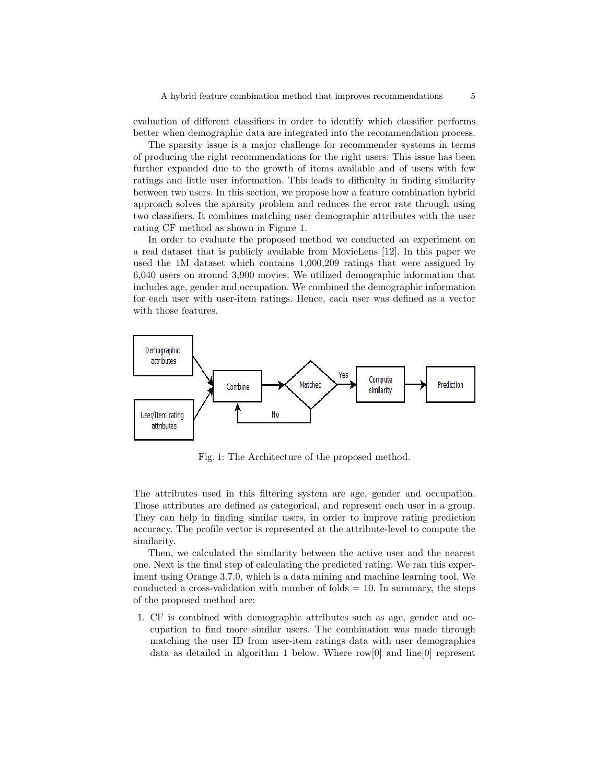evaluation of different classifiers in order to identify which classifier performs better when demographic data are integrated into the recommendation process.

The sparsity issue is a major challenge for recommender systems in terms of producing the right recommendations for the right users. This issue has been further expanded due to the growth of items available and of users with few ratings and little user information. This leads to difficulty in finding similarity between two users. In this section, we propose how a feature combination hybrid approach solves the sparsity problem and reduces the error rate through using two classifiers. It combines matching user demographic attributes with the user rating CF method as shown in Figure 1.

In order to evaluate the proposed method we conducted an experiment on a real dataset that is publicly available from MovieLens [12]. In this paper we used the 1M dataset which contains 1,000,209 ratings that were assigned by 6,040 users on around 3,900 movies. We utilized demographic information that includes age, gender and occupation. We combined the demographic information for each user with user-item ratings. Hence, each user was defined as a vector with those features.



Fig. 1: The Architecture of the proposed method.

The attributes used in this filtering system are age, gender and occupation. Those attributes are defined as categorical, and represent each user in a group. They can help in finding similar users, in order to improve rating prediction accuracy. The profile vector is represented at the attribute-level to compute the similarity.

Then, we calculated the similarity between the active user and the nearest one. Next is the final step of calculating the predicted rating. We ran this experiment using Orange 3.7.0, which is a data mining and machine learning tool. We conducted a cross-validation with number of folds  $= 10$ . In summary, the steps of the proposed method are:

1. CF is combined with demographic attributes such as age, gender and occupation to find more similar users. The combination was made through matching the user ID from user-item ratings data with user demographics data as detailed in algorithm 1 below. Where row[0] and line[0] represent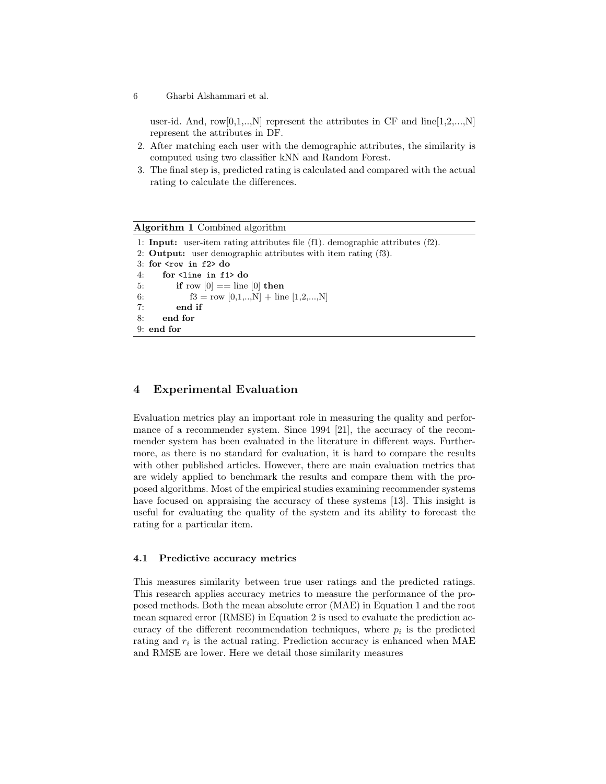6 Gharbi Alshammari et al.

user-id. And, row $[0,1,...,N]$  represent the attributes in CF and line $[1,2,...,N]$ represent the attributes in DF.

- 2. After matching each user with the demographic attributes, the similarity is computed using two classifier kNN and Random Forest.
- 3. The final step is, predicted rating is calculated and compared with the actual rating to calculate the differences.

Algorithm 1 Combined algorithm

| 1: <b>Input:</b> user-item rating attributes file $(f1)$ . demographic attributes $(f2)$ . |  |
|--------------------------------------------------------------------------------------------|--|
| 2: <b>Output:</b> user demographic attributes with item rating $(f3)$ .                    |  |
| 3: for $\langle \text{row in f2} \rangle$ do                                               |  |
| for $\langle$ line in f1> do<br>4:                                                         |  |
| if row $[0] ==$ line $[0]$ then<br>5.                                                      |  |
| $f3 = row [0,1,,N] + line [1,2,,N]$<br>6:                                                  |  |
| 7:<br>end if                                                                               |  |
| end for<br>8:                                                                              |  |
| $9:$ end for                                                                               |  |

# 4 Experimental Evaluation

Evaluation metrics play an important role in measuring the quality and performance of a recommender system. Since 1994 [21], the accuracy of the recommender system has been evaluated in the literature in different ways. Furthermore, as there is no standard for evaluation, it is hard to compare the results with other published articles. However, there are main evaluation metrics that are widely applied to benchmark the results and compare them with the proposed algorithms. Most of the empirical studies examining recommender systems have focused on appraising the accuracy of these systems [13]. This insight is useful for evaluating the quality of the system and its ability to forecast the rating for a particular item.

#### 4.1 Predictive accuracy metrics

This measures similarity between true user ratings and the predicted ratings. This research applies accuracy metrics to measure the performance of the proposed methods. Both the mean absolute error (MAE) in Equation 1 and the root mean squared error (RMSE) in Equation 2 is used to evaluate the prediction accuracy of the different recommendation techniques, where  $p_i$  is the predicted rating and  $r_i$  is the actual rating. Prediction accuracy is enhanced when MAE and RMSE are lower. Here we detail those similarity measures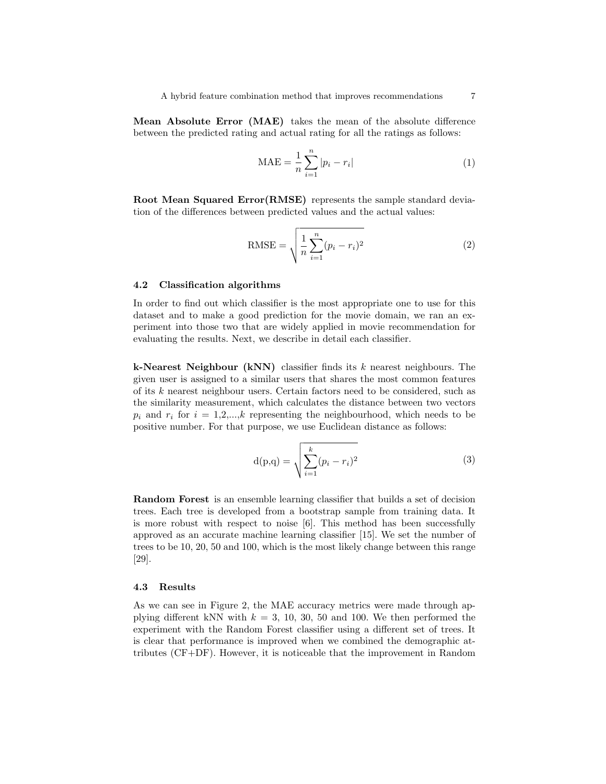Mean Absolute Error (MAE) takes the mean of the absolute difference between the predicted rating and actual rating for all the ratings as follows:

$$
MAE = \frac{1}{n} \sum_{i=1}^{n} |p_i - r_i|
$$
 (1)

Root Mean Squared Error(RMSE) represents the sample standard deviation of the differences between predicted values and the actual values:

RMSE = 
$$
\sqrt{\frac{1}{n} \sum_{i=1}^{n} (p_i - r_i)^2}
$$
 (2)

### 4.2 Classification algorithms

In order to find out which classifier is the most appropriate one to use for this dataset and to make a good prediction for the movie domain, we ran an experiment into those two that are widely applied in movie recommendation for evaluating the results. Next, we describe in detail each classifier.

**k-Nearest Neighbour (kNN)** classifier finds its k nearest neighbours. The given user is assigned to a similar users that shares the most common features of its k nearest neighbour users. Certain factors need to be considered, such as the similarity measurement, which calculates the distance between two vectors  $p_i$  and  $r_i$  for  $i = 1,2,...,k$  representing the neighbourhood, which needs to be positive number. For that purpose, we use Euclidean distance as follows:

$$
d(p,q) = \sqrt{\sum_{i=1}^{k} (p_i - r_i)^2}
$$
 (3)

Random Forest is an ensemble learning classifier that builds a set of decision trees. Each tree is developed from a bootstrap sample from training data. It is more robust with respect to noise [6]. This method has been successfully approved as an accurate machine learning classifier [15]. We set the number of trees to be 10, 20, 50 and 100, which is the most likely change between this range [29].

#### 4.3 Results

As we can see in Figure 2, the MAE accuracy metrics were made through applying different kNN with  $k = 3, 10, 30, 50$  and 100. We then performed the experiment with the Random Forest classifier using a different set of trees. It is clear that performance is improved when we combined the demographic attributes (CF+DF). However, it is noticeable that the improvement in Random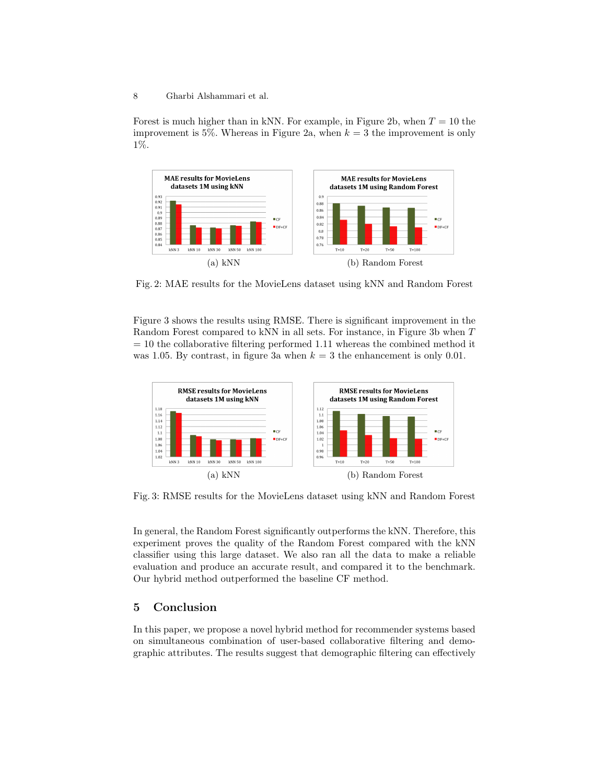8 Gharbi Alshammari et al.

Forest is much higher than in kNN. For example, in Figure 2b, when  $T = 10$  the improvement is 5%. Whereas in Figure 2a, when  $k = 3$  the improvement is only 1%.



Fig. 2: MAE results for the MovieLens dataset using kNN and Random Forest

Figure 3 shows the results using RMSE. There is significant improvement in the Random Forest compared to kNN in all sets. For instance, in Figure 3b when T  $= 10$  the collaborative filtering performed 1.11 whereas the combined method it was 1.05. By contrast, in figure 3a when  $k = 3$  the enhancement is only 0.01.



Fig. 3: RMSE results for the MovieLens dataset using kNN and Random Forest

In general, the Random Forest significantly outperforms the kNN. Therefore, this experiment proves the quality of the Random Forest compared with the kNN classifier using this large dataset. We also ran all the data to make a reliable evaluation and produce an accurate result, and compared it to the benchmark. Our hybrid method outperformed the baseline CF method.

# 5 Conclusion

In this paper, we propose a novel hybrid method for recommender systems based on simultaneous combination of user-based collaborative filtering and demographic attributes. The results suggest that demographic filtering can effectively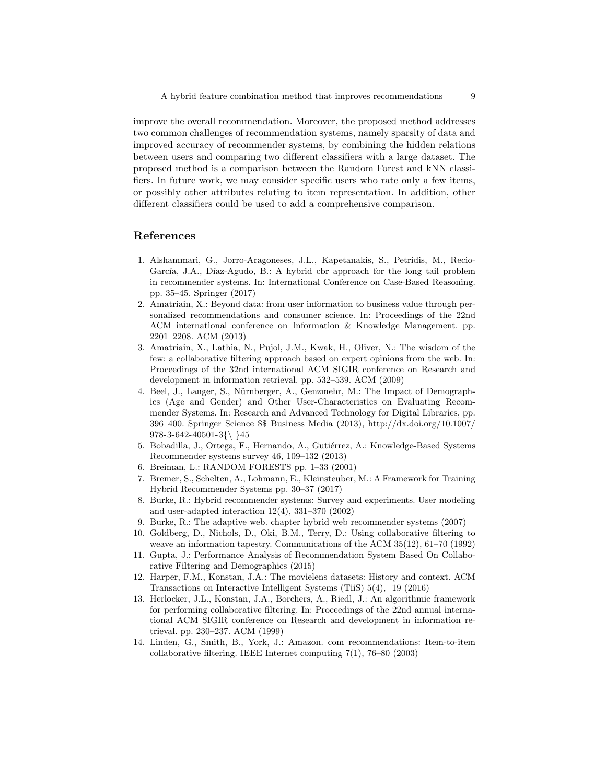improve the overall recommendation. Moreover, the proposed method addresses two common challenges of recommendation systems, namely sparsity of data and improved accuracy of recommender systems, by combining the hidden relations between users and comparing two different classifiers with a large dataset. The proposed method is a comparison between the Random Forest and kNN classifiers. In future work, we may consider specific users who rate only a few items, or possibly other attributes relating to item representation. In addition, other different classifiers could be used to add a comprehensive comparison.

# References

- 1. Alshammari, G., Jorro-Aragoneses, J.L., Kapetanakis, S., Petridis, M., Recio-García, J.A., Díaz-Agudo, B.: A hybrid cbr approach for the long tail problem in recommender systems. In: International Conference on Case-Based Reasoning. pp. 35–45. Springer (2017)
- 2. Amatriain, X.: Beyond data: from user information to business value through personalized recommendations and consumer science. In: Proceedings of the 22nd ACM international conference on Information & Knowledge Management. pp. 2201–2208. ACM (2013)
- 3. Amatriain, X., Lathia, N., Pujol, J.M., Kwak, H., Oliver, N.: The wisdom of the few: a collaborative filtering approach based on expert opinions from the web. In: Proceedings of the 32nd international ACM SIGIR conference on Research and development in information retrieval. pp. 532–539. ACM (2009)
- 4. Beel, J., Langer, S., Nürnberger, A., Genzmehr, M.: The Impact of Demographics (Age and Gender) and Other User-Characteristics on Evaluating Recommender Systems. In: Research and Advanced Technology for Digital Libraries, pp. 396–400. Springer Science \$\$ Business Media (2013), http://dx.doi.org/10.1007/ 978-3-642-40501-3{\ }45
- 5. Bobadilla, J., Ortega, F., Hernando, A., Gutiérrez, A.: Knowledge-Based Systems Recommender systems survey 46, 109–132 (2013)
- 6. Breiman, L.: RANDOM FORESTS pp. 1–33 (2001)
- 7. Bremer, S., Schelten, A., Lohmann, E., Kleinsteuber, M.: A Framework for Training Hybrid Recommender Systems pp. 30–37 (2017)
- 8. Burke, R.: Hybrid recommender systems: Survey and experiments. User modeling and user-adapted interaction 12(4), 331–370 (2002)
- 9. Burke, R.: The adaptive web. chapter hybrid web recommender systems (2007)
- 10. Goldberg, D., Nichols, D., Oki, B.M., Terry, D.: Using collaborative filtering to weave an information tapestry. Communications of the ACM 35(12), 61–70 (1992)
- 11. Gupta, J.: Performance Analysis of Recommendation System Based On Collaborative Filtering and Demographics (2015)
- 12. Harper, F.M., Konstan, J.A.: The movielens datasets: History and context. ACM Transactions on Interactive Intelligent Systems (TiiS) 5(4), 19 (2016)
- 13. Herlocker, J.L., Konstan, J.A., Borchers, A., Riedl, J.: An algorithmic framework for performing collaborative filtering. In: Proceedings of the 22nd annual international ACM SIGIR conference on Research and development in information retrieval. pp. 230–237. ACM (1999)
- 14. Linden, G., Smith, B., York, J.: Amazon. com recommendations: Item-to-item collaborative filtering. IEEE Internet computing 7(1), 76–80 (2003)